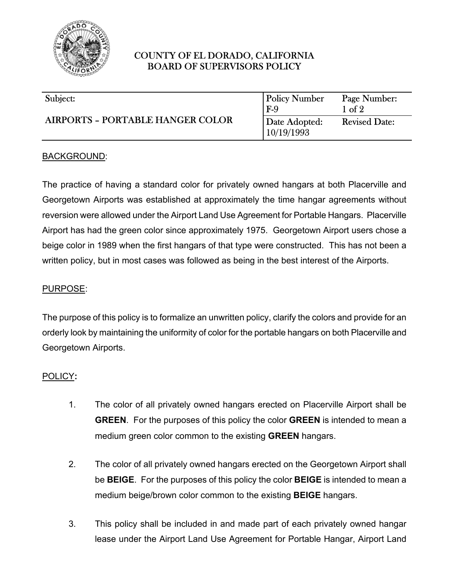

# COUNTY OF EL DORADO, CALIFORNIA BOARD OF SUPERVISORS POLICY

| Subject:                                | <b>Policy Number</b>        | Page Number:         |
|-----------------------------------------|-----------------------------|----------------------|
| <b>AIRPORTS - PORTABLE HANGER COLOR</b> | $F-9$                       | $1 \text{ of } 2$    |
|                                         | Date Adopted:<br>10/19/1993 | <b>Revised Date:</b> |

### BACKGROUND:

The practice of having a standard color for privately owned hangars at both Placerville and Georgetown Airports was established at approximately the time hangar agreements without reversion were allowed under the Airport Land Use Agreement for Portable Hangars. Placerville Airport has had the green color since approximately 1975. Georgetown Airport users chose a beige color in 1989 when the first hangars of that type were constructed. This has not been a written policy, but in most cases was followed as being in the best interest of the Airports.

#### PURPOSE:

The purpose of this policy is to formalize an unwritten policy, clarify the colors and provide for an orderly look by maintaining the uniformity of color for the portable hangars on both Placerville and Georgetown Airports.

#### POLICY**:**

- 1. The color of all privately owned hangars erected on Placerville Airport shall be **GREEN**. For the purposes of this policy the color **GREEN** is intended to mean a medium green color common to the existing **GREEN** hangars.
- 2. The color of all privately owned hangars erected on the Georgetown Airport shall be **BEIGE**. For the purposes of this policy the color **BEIGE** is intended to mean a medium beige/brown color common to the existing **BEIGE** hangars.
- 3. This policy shall be included in and made part of each privately owned hangar lease under the Airport Land Use Agreement for Portable Hangar, Airport Land